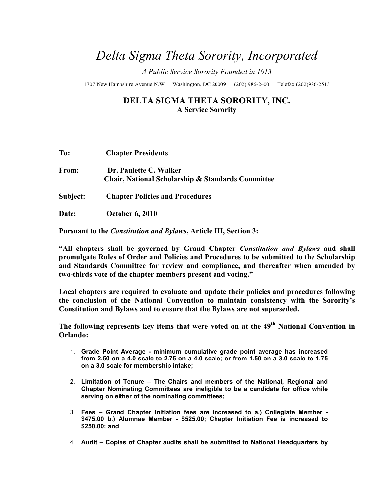# *Delta Sigma Theta Sorority, Incorporated*

*A Public Service Sorority Founded in 1913* 

1707 New Hampshire Avenue N.W Washington, DC 20009 (202) 986-2400 Telefax (202)986-2513

### **DELTA SIGMA THETA SORORITY, INC. A Service Sorority**

| To:      | <b>Chapter Presidents</b>                                                   |
|----------|-----------------------------------------------------------------------------|
| From:    | Dr. Paulette C. Walker<br>Chair, National Scholarship & Standards Committee |
| Subject: | <b>Chapter Policies and Procedures</b>                                      |

**Date: October 6, 2010**

**Pursuant to the** *Constitution and Bylaws***, Article III, Section 3:**

**"All chapters shall be governed by Grand Chapter** *Constitution and Bylaws* **and shall promulgate Rules of Order and Policies and Procedures to be submitted to the Scholarship and Standards Committee for review and compliance, and thereafter when amended by two-thirds vote of the chapter members present and voting."**

**Local chapters are required to evaluate and update their policies and procedures following the conclusion of the National Convention to maintain consistency with the Sorority's Constitution and Bylaws and to ensure that the Bylaws are not superseded.**

**The following represents key items that were voted on at the 49th National Convention in Orlando:**

- 1. **Grade Point Average minimum cumulative grade point average has increased from 2.50 on a 4.0 scale to 2.75 on a 4.0 scale; or from 1.50 on a 3.0 scale to 1.75 on a 3.0 scale for membership intake;**
- 2. **Limitation of Tenure The Chairs and members of the National, Regional and Chapter Nominating Committees are ineligible to be a candidate for office while serving on either of the nominating committees;**
- 3. **Fees Grand Chapter Initiation fees are increased to a.) Collegiate Member \$475.00 b.) Alumnae Member - \$525.00; Chapter Initiation Fee is increased to \$250.00; and**
- 4. **Audit Copies of Chapter audits shall be submitted to National Headquarters by**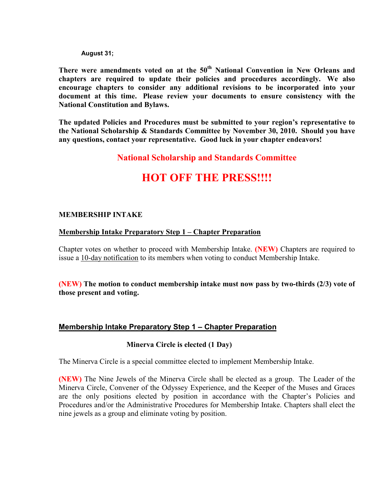**August 31;**

**There were amendments voted on at the 50th National Convention in New Orleans and chapters are required to update their policies and procedures accordingly. We also encourage chapters to consider any additional revisions to be incorporated into your document at this time. Please review your documents to ensure consistency with the National Constitution and Bylaws.**

**The updated Policies and Procedures must be submitted to your region's representative to the National Scholarship & Standards Committee by November 30, 2010. Should you have any questions, contact your representative. Good luck in your chapter endeavors!** 

## **National Scholarship and Standards Committee**

# **HOT OFF THE PRESS!!!!**

#### **MEMBERSHIP INTAKE**

#### **Membership Intake Preparatory Step 1 – Chapter Preparation**

Chapter votes on whether to proceed with Membership Intake. **(NEW)** Chapters are required to issue a 10-day notification to its members when voting to conduct Membership Intake.

**(NEW) The motion to conduct membership intake must now pass by two-thirds (2/3) vote of those present and voting.**

#### **Membership Intake Preparatory Step 1 – Chapter Preparation**

#### **Minerva Circle is elected (1 Day)**

The Minerva Circle is a special committee elected to implement Membership Intake.

**(NEW)** The Nine Jewels of the Minerva Circle shall be elected as a group. The Leader of the Minerva Circle, Convener of the Odyssey Experience, and the Keeper of the Muses and Graces are the only positions elected by position in accordance with the Chapter's Policies and Procedures and/or the Administrative Procedures for Membership Intake. Chapters shall elect the nine jewels as a group and eliminate voting by position.